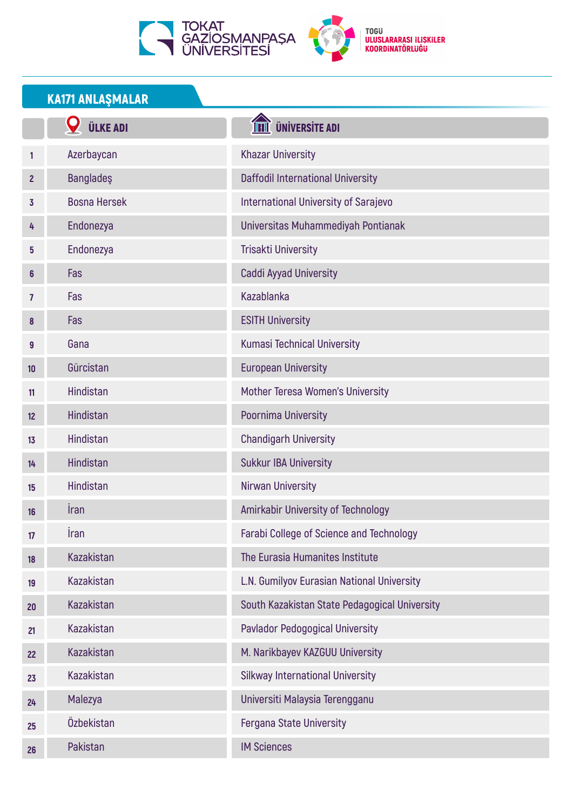



## KA171 ANLAŞMALAR

|                | <b>ÜLKE ADI</b>     | <b>THE UNIVERSITE ADI</b>                     |
|----------------|---------------------|-----------------------------------------------|
| 1              | Azerbaycan          | <b>Khazar University</b>                      |
| $\mathbf{2}$   | <b>Bangladeş</b>    | Daffodil International University             |
| 3              | <b>Bosna Hersek</b> | <b>International University of Sarajevo</b>   |
| 4              | Endonezya           | Universitas Muhammediyah Pontianak            |
| 5              | Endonezya           | <b>Trisakti University</b>                    |
| 6              | Fas                 | Caddi Ayyad University                        |
| $\overline{7}$ | Fas                 | Kazablanka                                    |
| 8              | Fas                 | <b>ESITH University</b>                       |
| 9              | Gana                | <b>Kumasi Technical University</b>            |
| 10             | Gürcistan           | <b>European University</b>                    |
| 11             | Hindistan           | Mother Teresa Women's University              |
| 12             | Hindistan           | Poornima University                           |
| 13             | Hindistan           | <b>Chandigarh University</b>                  |
| 14             | Hindistan           | <b>Sukkur IBA University</b>                  |
| 15             | <b>Hindistan</b>    | Nirwan University                             |
| 16             | Iran                | Amirkabir University of Technology            |
| 17             | <b>İran</b>         | Farabi College of Science and Technology      |
| 18             | <b>Kazakistan</b>   | The Eurasia Humanites Institute               |
| 19             | Kazakistan          | L.N. Gumilyov Eurasian National University    |
| 20             | <b>Kazakistan</b>   | South Kazakistan State Pedagogical University |
| 21             | Kazakistan          | Pavlador Pedogogical University               |
| 22             | <b>Kazakistan</b>   | M. Narikbayev KAZGUU University               |
| 23             | Kazakistan          | <b>Silkway International University</b>       |
| 24             | Malezya             | Universiti Malaysia Terengganu                |
| 25             | Özbekistan          | <b>Fergana State University</b>               |
| 26             | Pakistan            | <b>IM Sciences</b>                            |